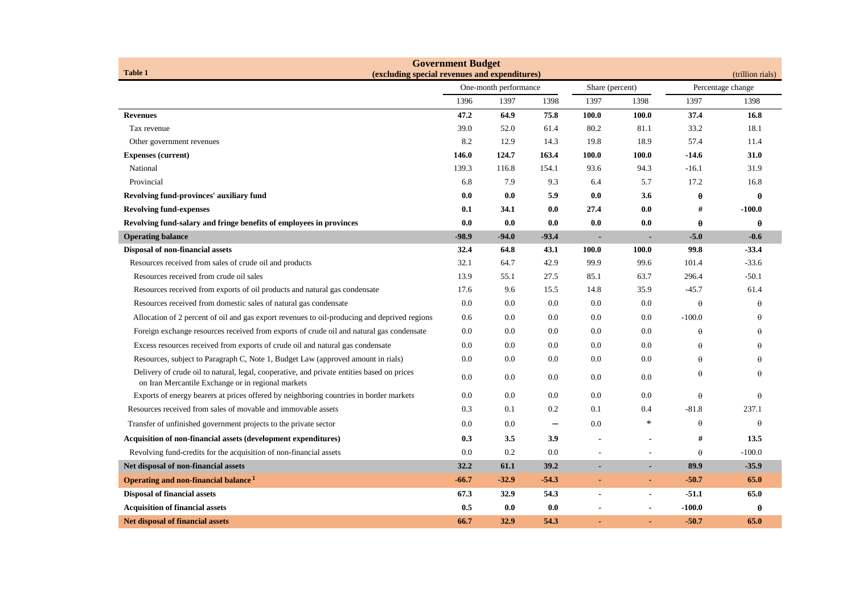| <b>Government Budget</b><br><b>Table 1</b>                                                                                                       |                                                                        |         |                          |                          |        |                                       |          |
|--------------------------------------------------------------------------------------------------------------------------------------------------|------------------------------------------------------------------------|---------|--------------------------|--------------------------|--------|---------------------------------------|----------|
|                                                                                                                                                  | (excluding special revenues and expenditures)<br>One-month performance |         |                          | Share (percent)          |        | (trillion rials)<br>Percentage change |          |
|                                                                                                                                                  | 1396                                                                   | 1397    | 1398                     | 1397                     | 1398   | 1397                                  | 1398     |
| <b>Revenues</b>                                                                                                                                  | 47.2                                                                   | 64.9    | 75.8                     | 100.0                    | 100.0  | 37.4                                  | 16.8     |
| Tax revenue                                                                                                                                      | 39.0                                                                   | 52.0    | 61.4                     | 80.2                     | 81.1   | 33.2                                  | 18.1     |
| Other government revenues                                                                                                                        | 8.2                                                                    | 12.9    | 14.3                     | 19.8                     | 18.9   | 57.4                                  | 11.4     |
| <b>Expenses (current)</b>                                                                                                                        | 146.0                                                                  | 124.7   | 163.4                    | 100.0                    | 100.0  | $-14.6$                               | 31.0     |
| National                                                                                                                                         | 139.3                                                                  | 116.8   | 154.1                    | 93.6                     | 94.3   | $-16.1$                               | 31.9     |
| Provincial                                                                                                                                       | 6.8                                                                    | 7.9     | 9.3                      | 6.4                      | 5.7    | 17.2                                  | 16.8     |
| Revolving fund-provinces' auxiliary fund                                                                                                         | 0.0                                                                    | 0.0     | 5.9                      | 0.0                      | 3.6    | $\theta$                              | θ        |
| <b>Revolving fund-expenses</b>                                                                                                                   | 0.1                                                                    | 34.1    | 0.0                      | 27.4                     | 0.0    | $\#$                                  | $-100.0$ |
| Revolving fund-salary and fringe benefits of employees in provinces                                                                              | 0.0                                                                    | 0.0     | 0.0                      | 0.0                      | 0.0    | $\pmb{\theta}$                        | $\theta$ |
| <b>Operating balance</b>                                                                                                                         | $-98.9$                                                                | $-94.0$ | $-93.4$                  | $\blacksquare$           | ٠      | $-5.0$                                | $-0.6$   |
| Disposal of non-financial assets                                                                                                                 | 32.4                                                                   | 64.8    | 43.1                     | 100.0                    | 100.0  | 99.8                                  | $-33.4$  |
| Resources received from sales of crude oil and products                                                                                          | 32.1                                                                   | 64.7    | 42.9                     | 99.9                     | 99.6   | 101.4                                 | $-33.6$  |
| Resources received from crude oil sales                                                                                                          | 13.9                                                                   | 55.1    | 27.5                     | 85.1                     | 63.7   | 296.4                                 | $-50.1$  |
| Resources received from exports of oil products and natural gas condensate                                                                       | 17.6                                                                   | 9.6     | 15.5                     | 14.8                     | 35.9   | $-45.7$                               | 61.4     |
| Resources received from domestic sales of natural gas condensate                                                                                 | 0.0                                                                    | 0.0     | 0.0                      | 0.0                      | 0.0    | $\theta$                              | $\theta$ |
| Allocation of 2 percent of oil and gas export revenues to oil-producing and deprived regions                                                     | 0.6                                                                    | 0.0     | 0.0                      | 0.0                      | 0.0    | $-100.0$                              | $\theta$ |
| Foreign exchange resources received from exports of crude oil and natural gas condensate                                                         | 0.0                                                                    | 0.0     | 0.0                      | 0.0                      | 0.0    | $\theta$                              | $\theta$ |
| Excess resources received from exports of crude oil and natural gas condensate                                                                   | 0.0                                                                    | 0.0     | 0.0                      | 0.0                      | 0.0    | $\theta$                              | $\theta$ |
| Resources, subject to Paragraph C, Note 1, Budget Law (approved amount in rials)                                                                 | 0.0                                                                    | 0.0     | 0.0                      | 0.0                      | 0.0    | $\theta$                              | $\theta$ |
| Delivery of crude oil to natural, legal, cooperative, and private entities based on prices<br>on Iran Mercantile Exchange or in regional markets | 0.0                                                                    | 0.0     | 0.0                      | 0.0                      | 0.0    | $\theta$                              | $\theta$ |
| Exports of energy bearers at prices offered by neighboring countries in border markets                                                           | 0.0                                                                    | 0.0     | 0.0                      | $0.0\,$                  | 0.0    | $\theta$                              | $\theta$ |
| Resources received from sales of movable and immovable assets                                                                                    | 0.3                                                                    | 0.1     | 0.2                      | 0.1                      | 0.4    | $-81.8$                               | 237.1    |
| Transfer of unfinished government projects to the private sector                                                                                 | 0.0                                                                    | 0.0     | $\overline{\phantom{m}}$ | 0.0                      | $\ast$ | $\theta$                              | $\theta$ |
| Acquisition of non-financial assets (development expenditures)                                                                                   | 0.3                                                                    | 3.5     | 3.9                      |                          |        | #                                     | 13.5     |
| Revolving fund-credits for the acquisition of non-financial assets                                                                               | 0.0                                                                    | 0.2     | 0.0                      |                          |        | $\theta$                              | $-100.0$ |
| Net disposal of non-financial assets                                                                                                             | 32.2                                                                   | 61.1    | 39.2                     |                          |        | 89.9                                  | $-35.9$  |
| Operating and non-financial balance <sup>1</sup>                                                                                                 | $-66.7$                                                                | $-32.9$ | $-54.3$                  | ÷,                       | ٠      | $-50.7$                               | 65.0     |
| <b>Disposal of financial assets</b>                                                                                                              | 67.3                                                                   | 32.9    | 54.3                     | $\blacksquare$           |        | $-51.1$                               | 65.0     |
| <b>Acquisition of financial assets</b>                                                                                                           | 0.5                                                                    | 0.0     | 0.0                      | $\overline{\phantom{a}}$ |        | $-100.0$                              | θ        |
| <b>Net disposal of financial assets</b>                                                                                                          | 66.7                                                                   | 32.9    | 54.3                     |                          |        | $-50.7$                               | 65.0     |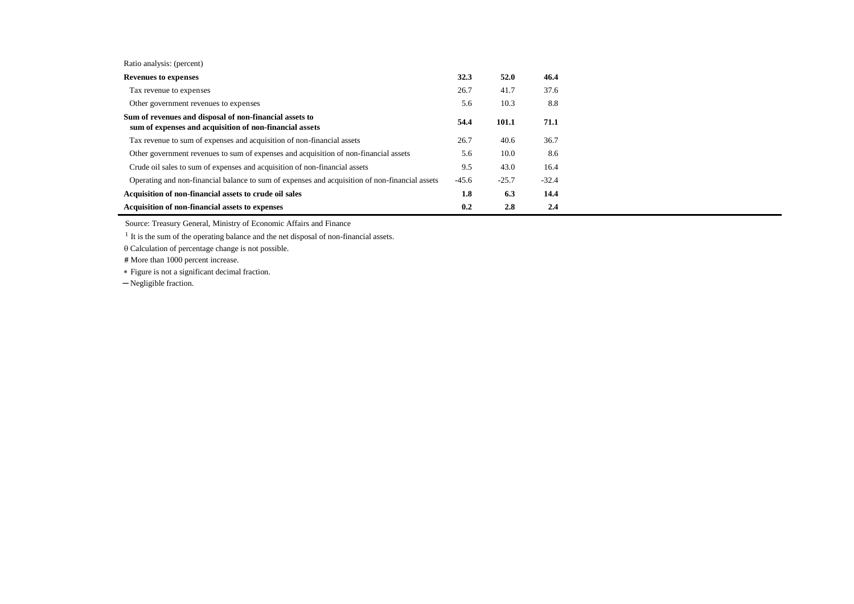|  |  | Ratio analysis: (percent) |
|--|--|---------------------------|
|--|--|---------------------------|

| <b>Revenues to expenses</b>                                                                                        | 32.3    | 52.0    | 46.4    |
|--------------------------------------------------------------------------------------------------------------------|---------|---------|---------|
| Tax revenue to expenses                                                                                            | 26.7    | 41.7    | 37.6    |
| Other government revenues to expenses                                                                              | 5.6     | 10.3    | 8.8     |
| Sum of revenues and disposal of non-financial assets to<br>sum of expenses and acquisition of non-financial assets | 54.4    | 101.1   | 71.1    |
| Tax revenue to sum of expenses and acquisition of non-financial assets                                             | 26.7    | 40.6    | 36.7    |
| Other government revenues to sum of expenses and acquisition of non-financial assets                               | 5.6     | 10.0    | 8.6     |
| Crude oil sales to sum of expenses and acquisition of non-financial assets                                         | 9.5     | 43.0    | 16.4    |
| Operating and non-financial balance to sum of expenses and acquisition of non-financial assets                     | $-45.6$ | $-25.7$ | $-32.4$ |
| Acquisition of non-financial assets to crude oil sales                                                             | 1.8     | 6.3     | 14.4    |
| Acquisition of non-financial assets to expenses                                                                    | 0.2     | 2.8     | 2.4     |

Source: Treasury General, Ministry of Economic Affairs and Finance

<sup>1</sup> It is the sum of the operating balance and the net disposal of non-financial assets.

 $\theta$  Calculation of percentage change is not possible.

 **#** More than 1000 percent increase.

Figure is not a significant decimal fraction.

─ Negligible fraction.